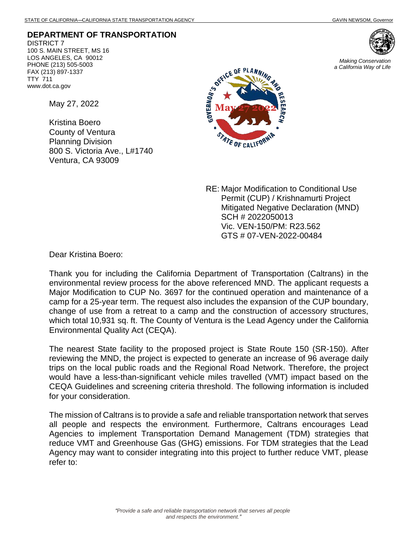*Making Conservation a California Way of Life*

## **DEPARTMENT OF TRANSPORTATION**

DISTRICT 7 100 S. MAIN STREET, MS 16 LOS ANGELES, CA 90012 PHONE (213) 505-5003 FAX (213) 897-1337 TTY 711 www.dot.ca.gov

May 27, 2022

Kristina Boero County of Ventura Planning Division 800 S. Victoria Ave., L#1740 Ventura, CA 93009



RE: Major Modification to Conditional Use Permit (CUP) / Krishnamurti Project Mitigated Negative Declaration (MND) SCH # 2022050013 Vic. VEN-150/PM: R23.562 GTS # 07-VEN-2022-00484

Dear Kristina Boero:

Thank you for including the California Department of Transportation (Caltrans) in the environmental review process for the above referenced MND. The applicant requests a Major Modification to CUP No. 3697 for the continued operation and maintenance of a camp for a 25-year term. The request also includes the expansion of the CUP boundary, change of use from a retreat to a camp and the construction of accessory structures, which total 10,931 sq. ft. The County of Ventura is the Lead Agency under the California Environmental Quality Act (CEQA).

The nearest State facility to the proposed project is State Route 150 (SR-150). After reviewing the MND, the project is expected to generate an increase of 96 average daily trips on the local public roads and the Regional Road Network. Therefore, the project would have a less-than-significant vehicle miles travelled (VMT) impact based on the CEQA Guidelines and screening criteria threshold. The following information is included for your consideration.

The mission of Caltrans is to provide a safe and reliable transportation network that serves all people and respects the environment. Furthermore, Caltrans encourages Lead Agencies to implement Transportation Demand Management (TDM) strategies that reduce VMT and Greenhouse Gas (GHG) emissions. For TDM strategies that the Lead Agency may want to consider integrating into this project to further reduce VMT, please refer to: